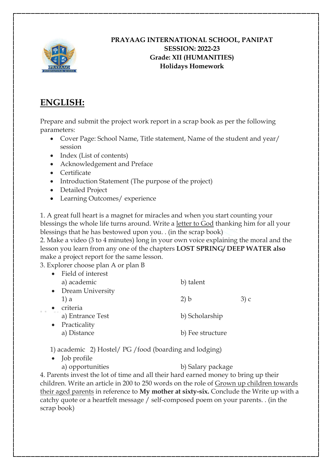

#### **PRAYAAG INTERNATIONAL SCHOOL, PANIPAT SESSION: 2022-23 Grade: XII (HUMANITIES) Holidays Homework**

# **ENGLISH:**

Prepare and submit the project work report in a scrap book as per the following parameters:

- Cover Page: School Name, Title statement, Name of the student and year/ session
- Index (List of contents)
- Acknowledgement and Preface
- Certificate
- Introduction Statement (The purpose of the project)
- Detailed Project
- Learning Outcomes/ experience

1. A great full heart is a magnet for miracles and when you start counting your blessings the whole life turns around. Write a letter to God thanking him for all your blessings that he has bestowed upon you. . (in the scrap book)

2. Make a video (3 to 4 minutes) long in your own voice explaining the moral and the lesson you learn from any one of the chapters **LOST SPRING/ DEEP WATER also**  make a project report for the same lesson.

3. Explorer choose plan A or plan B

| • Field of interest |                  |      |
|---------------------|------------------|------|
| a) academic         | b) talent        |      |
| • Dream University  |                  |      |
| $1$ ) a             | 2) b             | 3) c |
| criteria            |                  |      |
| a) Entrance Test    | b) Scholarship   |      |
| • Practicality      |                  |      |
| a) Distance         | b) Fee structure |      |
|                     |                  |      |

1) academic 2) Hostel/ PG /food (boarding and lodging)

• Job profile

a) opportunities b) Salary package

4. Parents invest the lot of time and all their hard earned money to bring up their children. Write an article in 200 to 250 words on the role of Grown up children towards their aged parents in reference to **My mother at sixty-six.** Conclude the Write up with a catchy quote or a heartfelt message / self-composed poem on your parents. . (in the scrap book)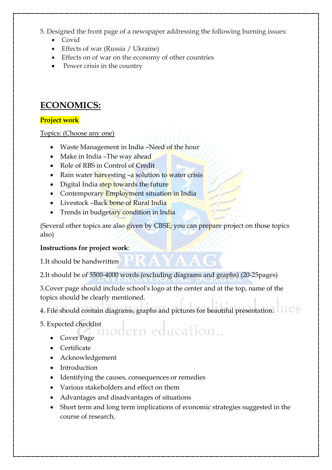5. Designed the front page of a newspaper addressing the following burning issues:

- Covid
- Effects of war (Russia / Ukraine)
- Effects on of war on the economy of other countries
- Power crisis in the country

# **ECONOMICS:**

#### **Project work**

Topics: (Choose any one)

- Waste Management in India -Need of the hour
- Make in India The way ahead
- Role of RBS in Control of Credit
- Rain water harvesting  $-a$  solution to water crisis
- Digital India step towards the future
- Contemporary Employment situation in India
- Livestock -Back bone of Rural India
- Trends in budgetary condition in India

(Several other topics are also given by CBSE; you can prepare project on those topics also)

#### **Instructions for project work**:

1.It should be handwritten

2.It should be of 3500-4000 words (excluding diagrams and graphs) (20-25pages)

3.Cover page should include school's logo at the center and at the top, name of the topics should be clearly mentioned.

4. File should contain diagrams, graphs and pictures for beautiful presentation.  $1108$ 

- 5. Expected checklist<br>
(0) modern education...
	- Cover Page
	- Certificate
	- Acknowledgement
	- Introduction
	- Identifying the causes, consequences or remedies
	- Various stakeholders and effect on them
	- Advantages and disadvantages of situations
	- Short term and long term implications of economic strategies suggested in the course of research.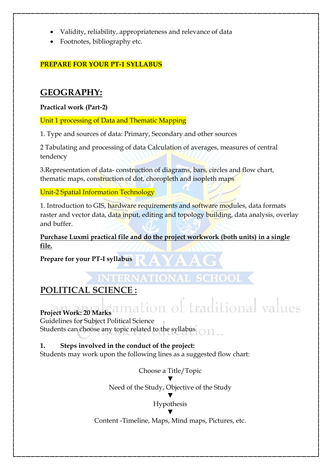- Validity, reliability, appropriateness and relevance of data
- Footnotes, bibliography etc.

#### **PREPARE FOR YOUR PT-1 SYLLABUS**

### **GEOGRAPHY:**

#### **Practical work (Part-2)**

Unit 1 processing of Data and Thematic Mapping

1. Type and sources of data: Primary, Secondary and other sources

2 Tabulating and processing of data Calculation of averages, measures of central tendency

3.Representation of data- construction of diagrams, bars, circles and flow chart, thematic maps, construction of dot, choropleth and isopleth maps

Unit-2 Spatial Information Technology

1. Introduction to GIS, hardware requirements and software modules, data formats raster and vector data, data input, editing and topology building, data analysis, overlay and buffer.

**Purchase Luxmi practical file and do the project workwork (both units) in a single file.** 

**Prepare for your PT-I syllabus**

# **POLITICAL SCIENCE :**

# Project Work: 20 Marks amation of traditional values

Guidelines for Subject Political Science

Students can choose any topic related to the syllabus

#### **1. Steps involved in the conduct of the project:**

Students may work upon the following lines as a suggested flow chart:

Choose a Title/Topic ▼ Need of the Study, Objective of the Study ▼ Hypothesis ▼

Content -Timeline, Maps, Mind maps, Pictures, etc.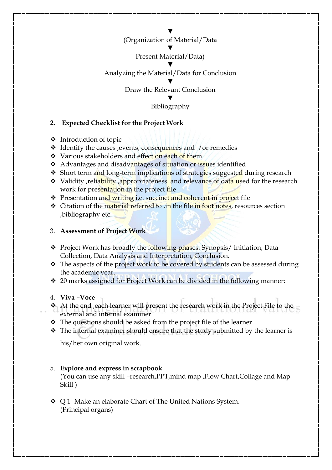▼ (Organization of Material/Data

▼

#### Present Material/Data)

#### ▼ Analyzing the Material/Data for Conclusion

▼ Draw the Relevant Conclusion

> ▼ Bibliography

#### **2. Expected Checklist for the Project Work**

- $\triangleleft$  Introduction of topic
- $\triangleleft$  Identify the causes , events, consequences and /or remedies
- ❖ Various stakeholders and effect on each of them
- Advantages and disadvantages of situation or issues identified
- Short term and long-term implications of strategies suggested during research
- **◆** Validity , reliability , appropriateness and relevance of data used for the research work for presentation in the project file
- ❖ Presentation and writing i.e. succinct and coherent in project file
- **Example 1** Citation of the material referred to , in the file in foot notes, resources section ,bibliography etc.

#### 3. **Assessment of Project Work**

- \* Project Work has broadly the following phases: Synopsis/ Initiation, Data Collection, Data Analysis and Interpretation, Conclusion.
- $\cdot$  The aspects of the project work to be covered by students can be assessed during the academic year.
- 20 marks assigned for Project Work can be divided in the following manner:

#### 4. **Viva –Voce**

- $\triangle$  At the end , each learner will present the research work in the Project File to the external and internal examiner
- \* The questions should be asked from the project file of the learner
- $\hat{\mathbf{v}}$  The internal examiner should ensure that the study submitted by the learner is

his/her own original work.

#### 5. **Explore and express in scrapbook**

(You can use any skill –research,PPT,mind map ,Flow Chart,Collage and Map Skill )

◆ ○ 1- Make an elaborate Chart of The United Nations System. (Principal organs)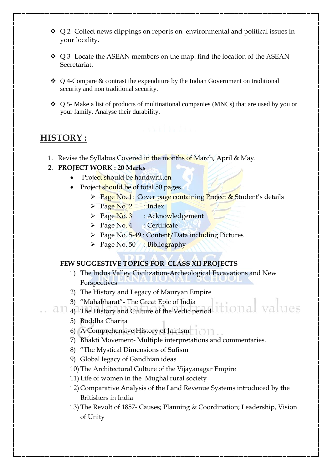- $\triangleleft$  Q 2- Collect news clippings on reports on environmental and political issues in your locality.
- $\div$  Q 3- Locate the ASEAN members on the map. find the location of the ASEAN Secretariat.
- $\triangle$  Q 4-Compare & contrast the expenditure by the Indian Government on traditional security and non traditional security.
- $\div$  Q 5- Make a list of products of multinational companies (MNCs) that are used by you or your family. Analyse their durability.

## **HISTORY :**

1. Revise the Syllabus Covered in the months of March, April & May.

#### 2. **PROJECT WORK : 20 Marks**

- Project should be handwritten
- Project should be of total 50 pages.
	- Page No. 1: Cover page containing Project & Student's details
	- $\triangleright$  Page No. 2 : Index
	- $\triangleright$  Page No. 3 : Acknowledgement
	- $\triangleright$  Page No. 4 : Certificate
	- $\triangleright$  Page No. 5-49 : Content/Data including Pictures
	- $\triangleright$  Page No. 50 : Bibliography

#### **FEW SUGGESTIVE TOPICS FOR CLASS XII PROJECTS**

- 1) The Indus Valley Civilization-Archeological Excavations and New **Perspectives**
- 2) The History and Legacy of Mauryan Empire
- 3) "Mahabharat"- The Great Epic of India
- 4) The History and Culture of the Vedic period
	- 5) Buddha Charita
	- 6) A Comprehensive History of Jainism
	- 7) Bhakti Movement- Multiple interpretations and commentaries.
	- 8) "The Mystical Dimensions of Sufism
	- 9) Global legacy of Gandhian ideas
	- 10) The Architectural Culture of the Vijayanagar Empire
	- 11) Life of women in the Mughal rural society
	- 12) Comparative Analysis of the Land Revenue Systems introduced by the Britishers in India
	- 13) The Revolt of 1857- Causes; Planning & Coordination; Leadership, Vision of Unity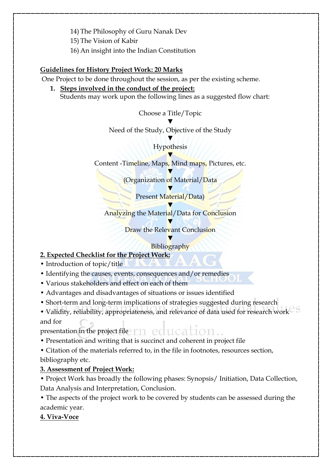14) The Philosophy of Guru Nanak Dev

15) The Vision of Kabir

16) An insight into the Indian Constitution

#### **Guidelines for History Project Work: 20 Marks**

One Project to be done throughout the session, as per the existing scheme.

**1. Steps involved in the conduct of the project:** Students may work upon the following lines as a suggested flow chart:

Choose a Title/Topic

▼

Need of the Study, Objective of the Study

▼ **Hypothesis** 

▼

Content -Timeline, Maps, Mind maps, Pictures, etc.

▼ (Organization of Material/Data

> ▼ Present Material/Data)

▼ Analyzing the Material/Data for Conclusion

> ▼ Draw the Relevant Conclusion

#### ▼ Bibliography

### **2. Expected Checklist for the Project Work:**

- Introduction of topic/title
- Identifying the causes, events, consequences and/or remedies
- Various stakeholders and effect on each of them
- Advantages and disadvantages of situations or issues identified
- Short-term and long-term implications of strategies suggested during research

• Validity, reliability, appropriateness, and relevance of data used for research work and for

presentation in the project file  $\uparrow \uparrow \uparrow \uparrow \uparrow \uparrow \uparrow \uparrow \uparrow \uparrow \uparrow$ 

• Presentation and writing that is succinct and coherent in project file

• Citation of the materials referred to, in the file in footnotes, resources section,

bibliography etc.

### **3. Assessment of Project Work:**

• Project Work has broadly the following phases: Synopsis/ Initiation, Data Collection, Data Analysis and Interpretation, Conclusion.

• The aspects of the project work to be covered by students can be assessed during the academic year.

**4. Viva-Voce**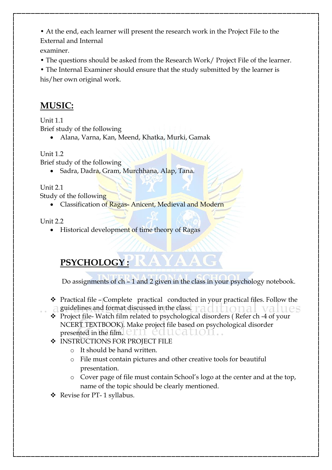• At the end, each learner will present the research work in the Project File to the External and Internal

examiner.

• The questions should be asked from the Research Work/ Project File of the learner.

• The Internal Examiner should ensure that the study submitted by the learner is his/her own original work.

# **MUSIC:**

Unit 1.1

Brief study of the following

Alana, Varna, Kan, Meend, Khatka, Murki, Gamak

#### Unit 1.2

Brief study of the following

• Sadra, Dadra, Gram, Murchhana, Alap, Tana.

Unit 2.1

Study of the following

• Classification of Ragas-Anicent, Medieval and Modern

Unit  $2.2$ 

• Historical development of time theory of Ragas

# **PSYCHOLOGY :**

Do assignments of ch – 1 and 2 given in the class in your psychology notebook.

- $\hat{\mathbf{v}}$  Practical file Complete practical conducted in your practical files. Follow the  $\Box$  guidelines and format discussed in the class.  $\Box$  all  $\Box$  all  $\Box$  all  $\Box$  all  $\Box$  all  $\Box$  all  $\Box$  all  $\Box$  all  $\Box$  all  $\Box$  all  $\Box$  all  $\Box$  all  $\Box$  all  $\Box$  all  $\Box$  all  $\Box$  all  $\Box$  all  $\Box$  all  $\Box$  all
- \* Project file-Watch film related to psychological disorders (Refer ch -4 of your NCERT TEXTBOOK). Make project file based on psychological disorder presented in the film.  $CITL$   $CQUCALION$ .
- **INSTRUCTIONS FOR PROJECT FILE** 
	- o It should be hand written.
	- o File must contain pictures and other creative tools for beautiful presentation.
	- o Cover page of file must contain School's logo at the center and at the top, name of the topic should be clearly mentioned.
- Revise for PT- 1 syllabus.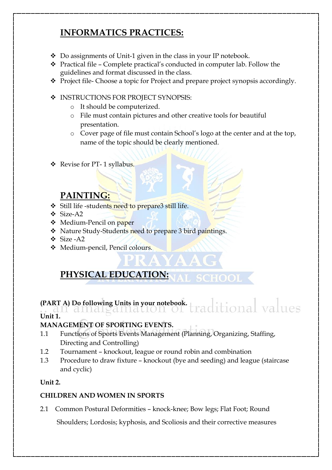# **INFORMATICS PRACTICES:**

- $\triangle$  Do assignments of Unit-1 given in the class in your IP notebook.
- $\triangle$  Practical file Complete practical's conducted in computer lab. Follow the guidelines and format discussed in the class.
- \* Project file- Choose a topic for Project and prepare project synopsis accordingly.
- **INSTRUCTIONS FOR PROJECT SYNOPSIS:** 
	- o It should be computerized.
	- o File must contain pictures and other creative tools for beautiful presentation.
	- o Cover page of file must contain School's logo at the center and at the top, name of the topic should be clearly mentioned.

SCHOOL.

❖ Revise for PT-1 syllabus.

## **PAINTING:**

- Still life -students need to prepare3 still life.
- Size-A2
- ❖ Medium-Pencil on paper
- Nature Study-Students need to prepare 3 bird paintings.
- Size -A2
- Medium-pencil, Pencil colours.

# **PHYSICAL EDUCATION:**

#### itional values **(PART A) Do following Units in your notebook.**

**Unit 1.**

### **MANAGEMENT OF SPORTING EVENTS.**

- 1.1 Functions of Sports Events Management (Planning, Organizing, Staffing, Directing and Controlling)
- 1.2 Tournament knockout, league or round robin and combination
- 1.3 Procedure to draw fixture knockout (bye and seeding) and league (staircase and cyclic)

#### **Unit 2.**

#### **CHILDREN AND WOMEN IN SPORTS**

2.1Common Postural Deformities – knock-knee; Bow legs; Flat Foot; Round

Shoulders; Lordosis; kyphosis, and Scoliosis and their corrective measures